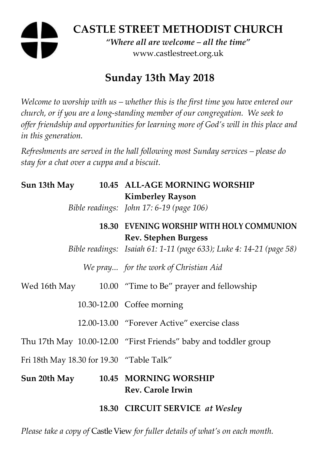# **CASTLE STREET METHODIST CHURCH**

*"Where all are welcome – all the time"*  www.castlestreet.org.uk

# **Sunday 13th May 2018**

*Welcome to worship with us – whether this is the first time you have entered our church, or if you are a long-standing member of our congregation. We seek to offer friendship and opportunities for learning more of God's will in this place and in this generation.* 

*Refreshments are served in the hall following most Sunday services – please do stay for a chat over a cuppa and a biscuit.* 

|                                           |  | Sun 13th May 10.45 ALL-AGE MORNING WORSHIP<br><b>Kimberley Rayson</b>    |
|-------------------------------------------|--|--------------------------------------------------------------------------|
|                                           |  | Bible readings: John 17: 6-19 (page 106)                                 |
|                                           |  | 18.30 EVENING WORSHIP WITH HOLY COMMUNION<br><b>Rev. Stephen Burgess</b> |
|                                           |  | Bible readings: Isaiah 61: 1-11 (page 633); Luke 4: 14-21 (page 58)      |
|                                           |  | We pray for the work of Christian Aid                                    |
|                                           |  | Wed 16th May 10.00 "Time to Be" prayer and fellowship                    |
|                                           |  | 10.30-12.00 Coffee morning                                               |
|                                           |  | 12.00-13.00 "Forever Active" exercise class                              |
|                                           |  | Thu 17th May 10.00-12.00 "First Friends" baby and toddler group          |
| Fri 18th May 18.30 for 19.30 "Table Talk" |  |                                                                          |
|                                           |  | Sun 20th May 10.45 MORNING WORSHIP<br><b>Rev. Carole Irwin</b>           |
|                                           |  | 18.30 CIRCUIT SERVICE at Wesley                                          |

*Please take a copy of* Castle View *for fuller details of what's on each month.*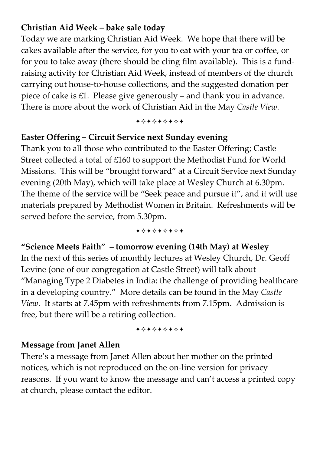#### **Christian Aid Week – bake sale today**

Today we are marking Christian Aid Week. We hope that there will be cakes available after the service, for you to eat with your tea or coffee, or for you to take away (there should be cling film available). This is a fundraising activity for Christian Aid Week, instead of members of the church carrying out house-to-house collections, and the suggested donation per piece of cake is £1. Please give generously – and thank you in advance. There is more about the work of Christian Aid in the May *Castle View*.

+\*+\*\*\*\*+

#### **Easter Offering – Circuit Service next Sunday evening**

Thank you to all those who contributed to the Easter Offering; Castle Street collected a total of £160 to support the Methodist Fund for World Missions. This will be "brought forward" at a Circuit Service next Sunday evening (20th May), which will take place at Wesley Church at 6.30pm. The theme of the service will be "Seek peace and pursue it", and it will use materials prepared by Methodist Women in Britain. Refreshments will be served before the service, from 5.30pm.

+\*+\*\*\*\*+

**"Science Meets Faith" – tomorrow evening (14th May) at Wesley**  In the next of this series of monthly lectures at Wesley Church, Dr. Geoff Levine (one of our congregation at Castle Street) will talk about "Managing Type 2 Diabetes in India: the challenge of providing healthcare in a developing country." More details can be found in the May *Castle View*. It starts at 7.45pm with refreshments from 7.15pm. Admission is free, but there will be a retiring collection.

+\*+\*\*\*\*\*

#### **Message from Janet Allen**

There's a message from Janet Allen about her mother on the printed notices, which is not reproduced on the on-line version for privacy reasons. If you want to know the message and can't access a printed copy at church, please contact the editor.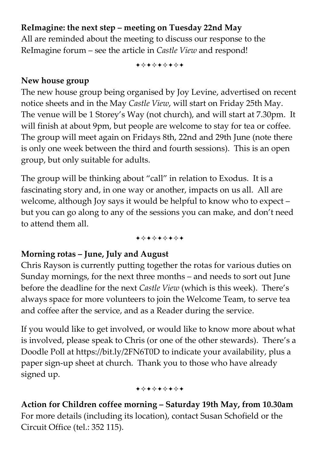# **ReImagine: the next step – meeting on Tuesday 22nd May**

All are reminded about the meeting to discuss our response to the ReImagine forum – see the article in *Castle View* and respond!

+\*\*\*\*\*\*\*

#### **New house group**

The new house group being organised by Joy Levine, advertised on recent notice sheets and in the May *Castle View*, will start on Friday 25th May. The venue will be 1 Storey's Way (not church), and will start at 7.30pm. It will finish at about 9pm, but people are welcome to stay for tea or coffee. The group will meet again on Fridays 8th, 22nd and 29th June (note there is only one week between the third and fourth sessions). This is an open group, but only suitable for adults.

The group will be thinking about "call" in relation to Exodus. It is a fascinating story and, in one way or another, impacts on us all. All are welcome, although Joy says it would be helpful to know who to expect – but you can go along to any of the sessions you can make, and don't need to attend them all.

+\*+\*\*\*\*+

## **Morning rotas – June, July and August**

Chris Rayson is currently putting together the rotas for various duties on Sunday mornings, for the next three months – and needs to sort out June before the deadline for the next *Castle View* (which is this week). There's always space for more volunteers to join the Welcome Team, to serve tea and coffee after the service, and as a Reader during the service.

If you would like to get involved, or would like to know more about what is involved, please speak to Chris (or one of the other stewards). There's a Doodle Poll at https://bit.ly/2FN6T0D to indicate your availability, plus a paper sign-up sheet at church. Thank you to those who have already signed up.

+\*\*\*\*\*\*\*

**Action for Children coffee morning – Saturday 19th May, from 10.30am**  For more details (including its location), contact Susan Schofield or the Circuit Office (tel.: 352 115).